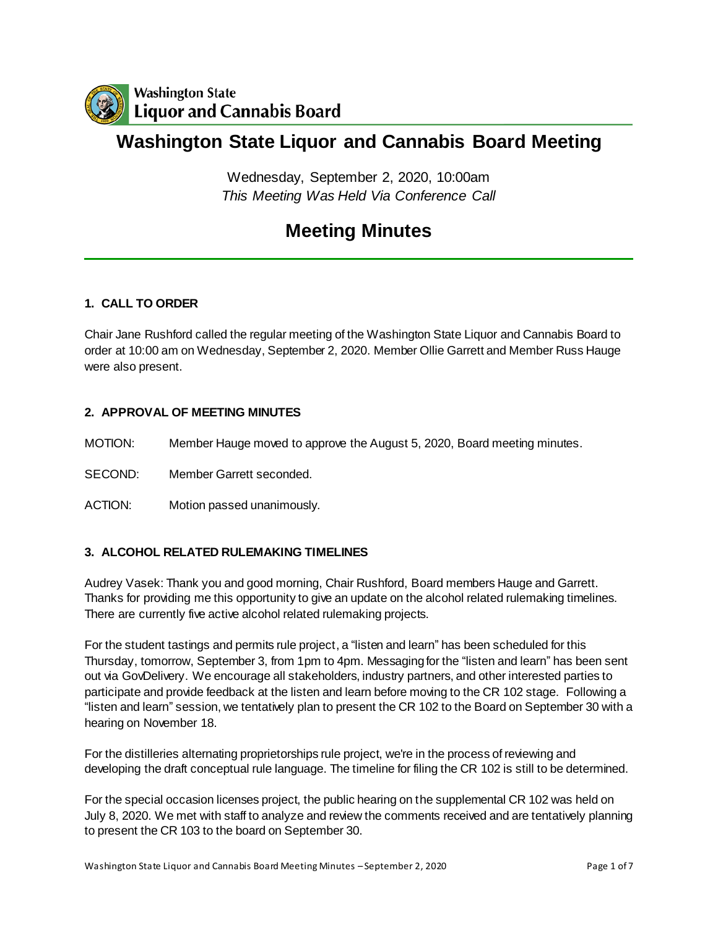

# **Washington State Liquor and Cannabis Board Meeting**

Wednesday, September 2, 2020, 10:00am *This Meeting Was Held Via Conference Call*

# **Meeting Minutes**

## **1. CALL TO ORDER**

Chair Jane Rushford called the regular meeting of the Washington State Liquor and Cannabis Board to order at 10:00 am on Wednesday, September 2, 2020. Member Ollie Garrett and Member Russ Hauge were also present.

## **2. APPROVAL OF MEETING MINUTES**

MOTION: Member Hauge moved to approve the August 5, 2020, Board meeting minutes.

SECOND: Member Garrett seconded.

ACTION: Motion passed unanimously.

### **3. ALCOHOL RELATED RULEMAKING TIMELINES**

Audrey Vasek: Thank you and good morning, Chair Rushford, Board members Hauge and Garrett. Thanks for providing me this opportunity to give an update on the alcohol related rulemaking timelines. There are currently five active alcohol related rulemaking projects.

For the student tastings and permits rule project, a "listen and learn" has been scheduled for this Thursday, tomorrow, September 3, from 1pm to 4pm. Messaging for the "listen and learn" has been sent out via GovDelivery. We encourage all stakeholders, industry partners, and other interested parties to participate and provide feedback at the listen and learn before moving to the CR 102 stage. Following a "listen and learn" session, we tentatively plan to present the CR 102 to the Board on September 30 with a hearing on November 18.

For the distilleries alternating proprietorships rule project, we're in the process of reviewing and developing the draft conceptual rule language. The timeline for filing the CR 102 is still to be determined.

For the special occasion licenses project, the public hearing on the supplemental CR 102 was held on July 8, 2020. We met with staff to analyze and review the comments received and are tentatively planning to present the CR 103 to the board on September 30.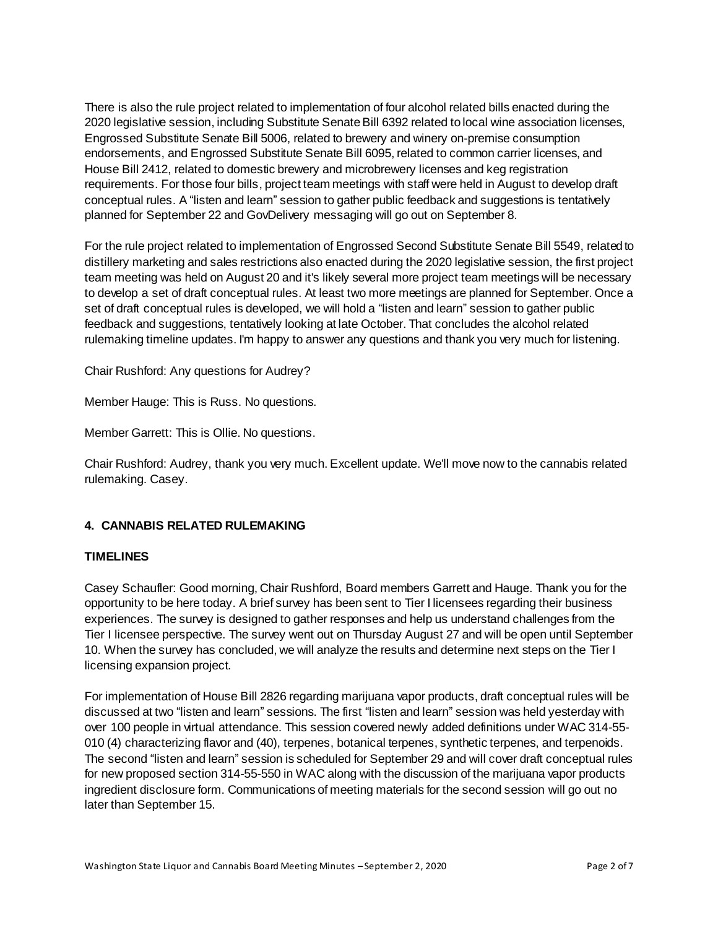There is also the rule project related to implementation of four alcohol related bills enacted during the 2020 legislative session, including Substitute Senate Bill 6392 related to local wine association licenses, Engrossed Substitute Senate Bill 5006, related to brewery and winery on-premise consumption endorsements, and Engrossed Substitute Senate Bill 6095, related to common carrier licenses, and House Bill 2412, related to domestic brewery and microbrewery licenses and keg registration requirements. For those four bills, project team meetings with staff were held in August to develop draft conceptual rules. A "listen and learn" session to gather public feedback and suggestions is tentatively planned for September 22 and GovDelivery messaging will go out on September 8.

For the rule project related to implementation of Engrossed Second Substitute Senate Bill 5549, related to distillery marketing and sales restrictions also enacted during the 2020 legislative session, the first project team meeting was held on August 20 and it's likely several more project team meetings will be necessary to develop a set of draft conceptual rules. At least two more meetings are planned for September. Once a set of draft conceptual rules is developed, we will hold a "listen and learn" session to gather public feedback and suggestions, tentatively looking at late October. That concludes the alcohol related rulemaking timeline updates. I'm happy to answer any questions and thank you very much for listening.

Chair Rushford: Any questions for Audrey?

Member Hauge: This is Russ. No questions.

Member Garrett: This is Ollie. No questions.

Chair Rushford: Audrey, thank you very much. Excellent update. We'll move now to the cannabis related rulemaking. Casey.

### **4. CANNABIS RELATED RULEMAKING**

#### **TIMELINES**

Casey Schaufler: Good morning, Chair Rushford, Board members Garrett and Hauge. Thank you for the opportunity to be here today. A brief survey has been sent to Tier I licensees regarding their business experiences. The survey is designed to gather responses and help us understand challenges from the Tier I licensee perspective. The survey went out on Thursday August 27 and will be open until September 10. When the survey has concluded, we will analyze the results and determine next steps on the Tier I licensing expansion project.

For implementation of House Bill 2826 regarding marijuana vapor products, draft conceptual rules will be discussed at two "listen and learn" sessions. The first "listen and learn" session was held yesterday with over 100 people in virtual attendance. This session covered newly added definitions under WAC 314-55- 010 (4) characterizing flavor and (40), terpenes, botanical terpenes, synthetic terpenes, and terpenoids. The second "listen and learn" session is scheduled for September 29 and will cover draft conceptual rules for new proposed section 314-55-550 in WAC along with the discussion of the marijuana vapor products ingredient disclosure form. Communications of meeting materials for the second session will go out no later than September 15.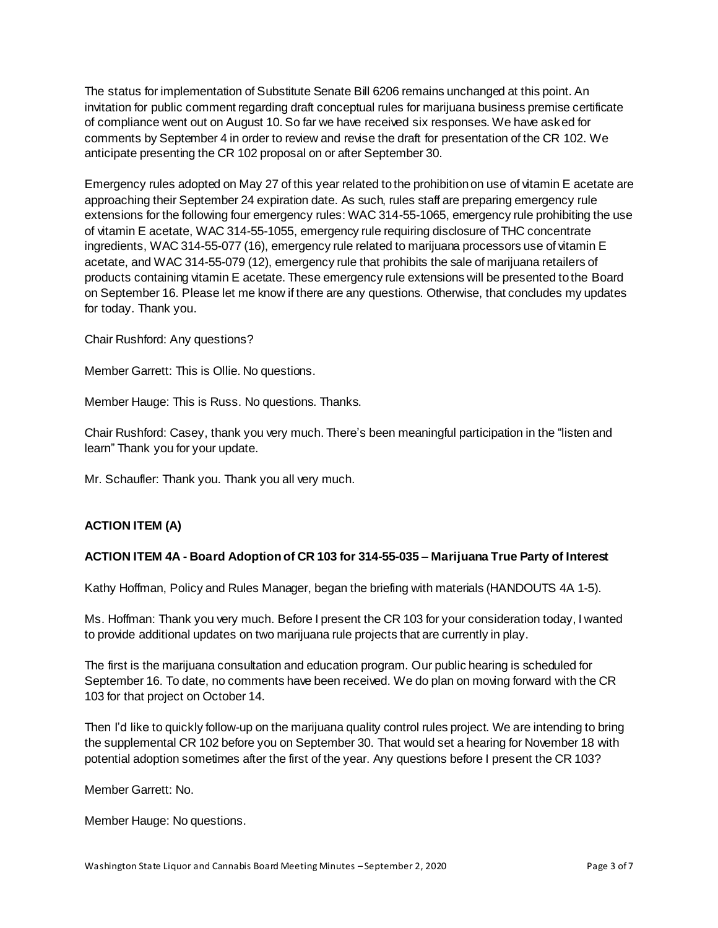The status for implementation of Substitute Senate Bill 6206 remains unchanged at this point. An invitation for public comment regarding draft conceptual rules for marijuana business premise certificate of compliance went out on August 10. So far we have received six responses. We have asked for comments by September 4 in order to review and revise the draft for presentation of the CR 102. We anticipate presenting the CR 102 proposal on or after September 30.

Emergency rules adopted on May 27 of this year related to the prohibition on use of vitamin E acetate are approaching their September 24 expiration date. As such, rules staff are preparing emergency rule extensions for the following four emergency rules: WAC 314-55-1065, emergency rule prohibiting the use of vitamin E acetate, WAC 314-55-1055, emergency rule requiring disclosure of THC concentrate ingredients, WAC 314-55-077 (16), emergency rule related to marijuana processors use of vitamin E acetate, and WAC 314-55-079 (12), emergency rule that prohibits the sale of marijuana retailers of products containing vitamin E acetate. These emergency rule extensions will be presented to the Board on September 16. Please let me know if there are any questions. Otherwise, that concludes my updates for today. Thank you.

Chair Rushford: Any questions?

Member Garrett: This is Ollie. No questions.

Member Hauge: This is Russ. No questions. Thanks.

Chair Rushford: Casey, thank you very much. There's been meaningful participation in the "listen and learn" Thank you for your update.

Mr. Schaufler: Thank you. Thank you all very much.

### **ACTION ITEM (A)**

### **ACTION ITEM 4A - Board Adoption of CR 103 for 314-55-035 – Marijuana True Party of Interest**

Kathy Hoffman, Policy and Rules Manager, began the briefing with materials (HANDOUTS 4A 1-5).

Ms. Hoffman: Thank you very much. Before I present the CR 103 for your consideration today, I wanted to provide additional updates on two marijuana rule projects that are currently in play.

The first is the marijuana consultation and education program. Our public hearing is scheduled for September 16. To date, no comments have been received. We do plan on moving forward with the CR 103 for that project on October 14.

Then I'd like to quickly follow-up on the marijuana quality control rules project. We are intending to bring the supplemental CR 102 before you on September 30. That would set a hearing for November 18 with potential adoption sometimes after the first of the year. Any questions before I present the CR 103?

Member Garrett: No.

Member Hauge: No questions.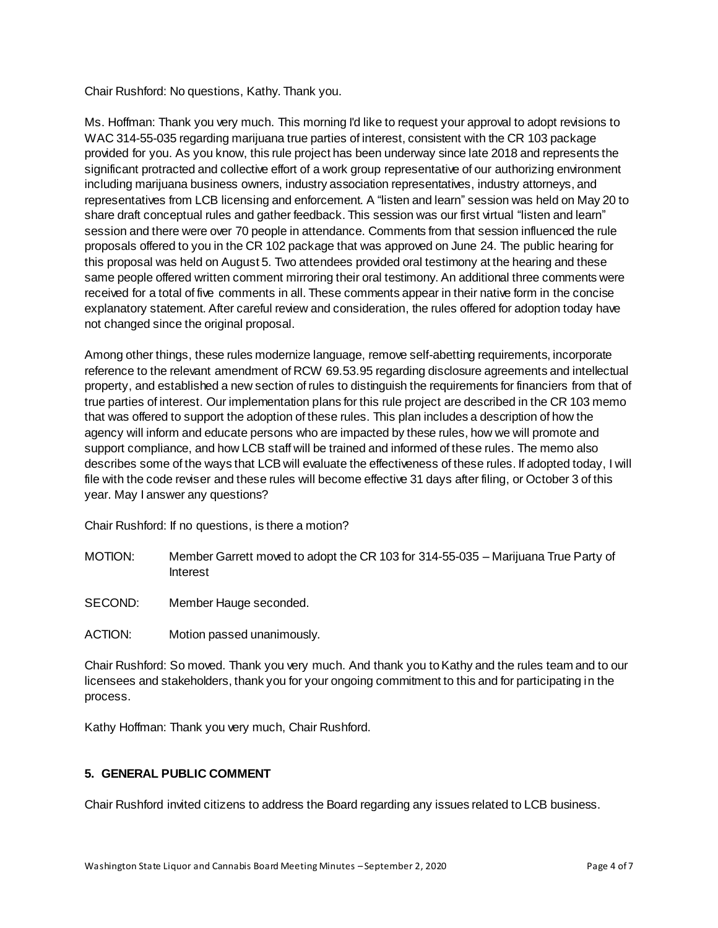Chair Rushford: No questions, Kathy. Thank you.

Ms. Hoffman: Thank you very much. This morning I'd like to request your approval to adopt revisions to WAC 314-55-035 regarding marijuana true parties of interest, consistent with the CR 103 package provided for you. As you know, this rule project has been underway since late 2018 and represents the significant protracted and collective effort of a work group representative of our authorizing environment including marijuana business owners, industry association representatives, industry attorneys, and representatives from LCB licensing and enforcement. A "listen and learn" session was held on May 20 to share draft conceptual rules and gather feedback. This session was our first virtual "listen and learn" session and there were over 70 people in attendance. Comments from that session influenced the rule proposals offered to you in the CR 102 package that was approved on June 24. The public hearing for this proposal was held on August 5. Two attendees provided oral testimony at the hearing and these same people offered written comment mirroring their oral testimony. An additional three comments were received for a total of five comments in all. These comments appear in their native form in the concise explanatory statement. After careful review and consideration, the rules offered for adoption today have not changed since the original proposal.

Among other things, these rules modernize language, remove self-abetting requirements, incorporate reference to the relevant amendment of RCW 69.53.95 regarding disclosure agreements and intellectual property, and established a new section of rules to distinguish the requirements for financiers from that of true parties of interest. Our implementation plans for this rule project are described in the CR 103 memo that was offered to support the adoption of these rules. This plan includes a description of how the agency will inform and educate persons who are impacted by these rules, how we will promote and support compliance, and how LCB staff will be trained and informed of these rules. The memo also describes some of the ways that LCB will evaluate the effectiveness of these rules. If adopted today, I will file with the code reviser and these rules will become effective 31 days after filing, or October 3 of this year. May I answer any questions?

Chair Rushford: If no questions, is there a motion?

- MOTION: Member Garrett moved to adopt the CR 103 for 314-55-035 Marijuana True Party of Interest
- SECOND: Member Hauge seconded.
- ACTION: Motion passed unanimously.

Chair Rushford: So moved. Thank you very much. And thank you to Kathy and the rules team and to our licensees and stakeholders, thank you for your ongoing commitment to this and for participating in the process.

Kathy Hoffman: Thank you very much, Chair Rushford.

## **5. GENERAL PUBLIC COMMENT**

Chair Rushford invited citizens to address the Board regarding any issues related to LCB business.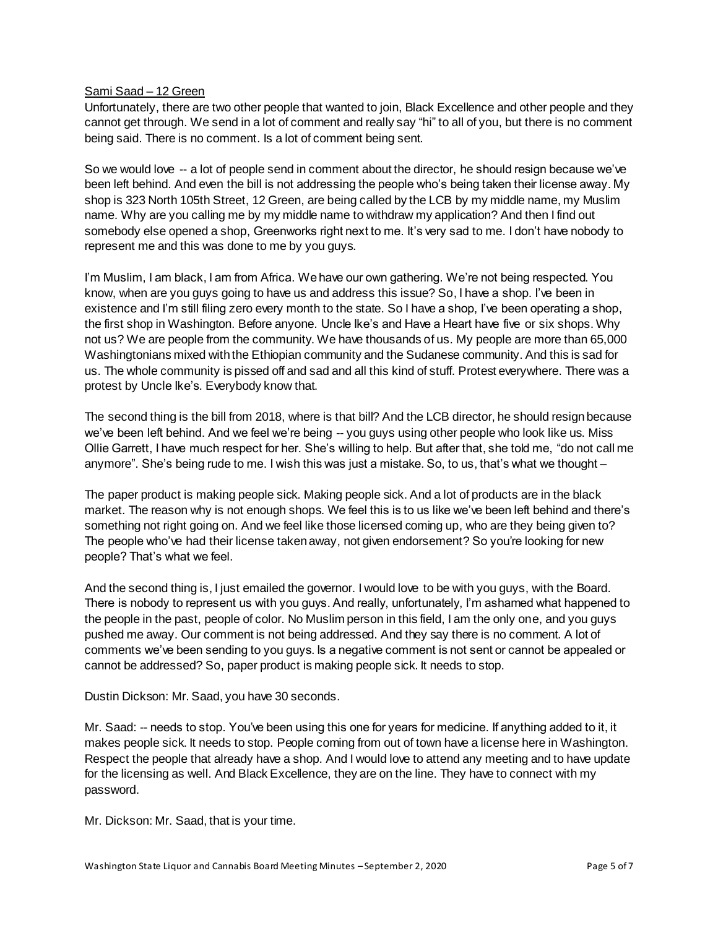#### Sami Saad – 12 Green

Unfortunately, there are two other people that wanted to join, Black Excellence and other people and they cannot get through. We send in a lot of comment and really say "hi" to all of you, but there is no comment being said. There is no comment. Is a lot of comment being sent.

So we would love -- a lot of people send in comment about the director, he should resign because we've been left behind. And even the bill is not addressing the people who's being taken their license away. My shop is 323 North 105th Street, 12 Green, are being called by the LCB by my middle name, my Muslim name. Why are you calling me by my middle name to withdraw my application? And then I find out somebody else opened a shop, Greenworks right next to me. It's very sad to me. I don't have nobody to represent me and this was done to me by you guys.

I'm Muslim, I am black, I am from Africa. We have our own gathering. We're not being respected. You know, when are you guys going to have us and address this issue? So, I have a shop. I've been in existence and I'm still filing zero every month to the state. So I have a shop, I've been operating a shop, the first shop in Washington. Before anyone. Uncle Ike's and Have a Heart have five or six shops. Why not us? We are people from the community. We have thousands of us. My people are more than 65,000 Washingtonians mixed with the Ethiopian community and the Sudanese community. And this is sad for us. The whole community is pissed off and sad and all this kind of stuff. Protest everywhere. There was a protest by Uncle Ike's. Everybody know that.

The second thing is the bill from 2018, where is that bill? And the LCB director, he should resign because we've been left behind. And we feel we're being -- you guys using other people who look like us. Miss Ollie Garrett, I have much respect for her. She's willing to help. But after that, she told me, "do not call me anymore". She's being rude to me. I wish this was just a mistake. So, to us, that's what we thought –

The paper product is making people sick. Making people sick. And a lot of products are in the black market. The reason why is not enough shops. We feel this is to us like we've been left behind and there's something not right going on. And we feel like those licensed coming up, who are they being given to? The people who've had their license taken away, not given endorsement? So you're looking for new people? That's what we feel.

And the second thing is, I just emailed the governor. I would love to be with you guys, with the Board. There is nobody to represent us with you guys. And really, unfortunately, I'm ashamed what happened to the people in the past, people of color. No Muslim person in this field, I am the only one, and you guys pushed me away. Our comment is not being addressed. And they say there is no comment. A lot of comments we've been sending to you guys. Is a negative comment is not sent or cannot be appealed or cannot be addressed? So, paper product is making people sick. It needs to stop.

Dustin Dickson: Mr. Saad, you have 30 seconds.

Mr. Saad: -- needs to stop. You've been using this one for years for medicine. If anything added to it, it makes people sick. It needs to stop. People coming from out of town have a license here in Washington. Respect the people that already have a shop. And I would love to attend any meeting and to have update for the licensing as well. And Black Excellence, they are on the line. They have to connect with my password.

Mr. Dickson: Mr. Saad, that is your time.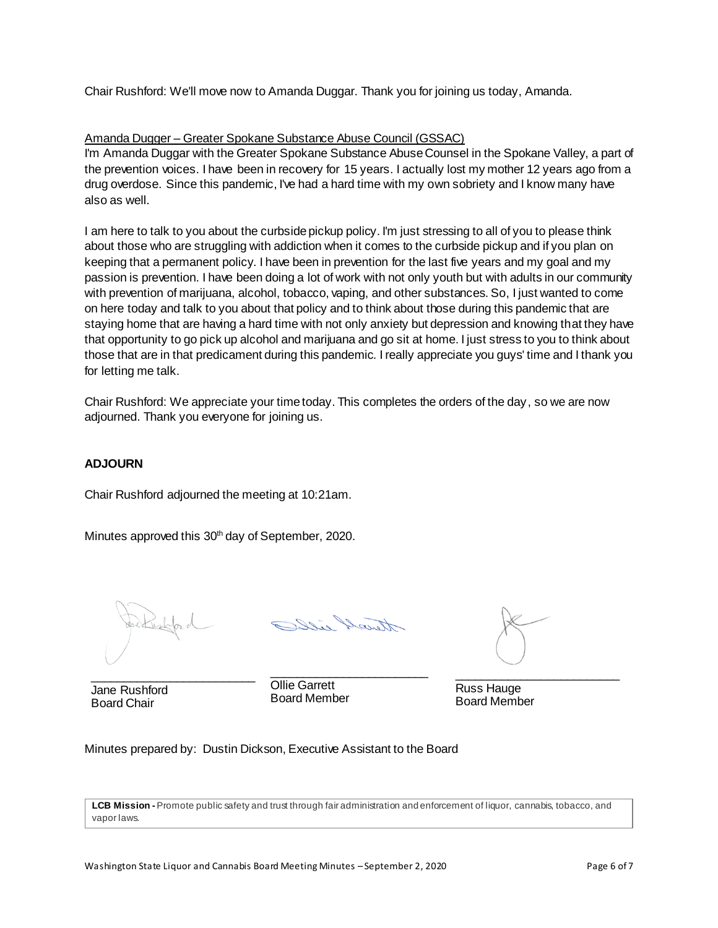Chair Rushford: We'll move now to Amanda Duggar. Thank you for joining us today, Amanda.

## Amanda Dugger – Greater Spokane Substance Abuse Council (GSSAC)

I'm Amanda Duggar with the Greater Spokane Substance Abuse Counsel in the Spokane Valley, a part of the prevention voices. I have been in recovery for 15 years. I actually lost my mother 12 years ago from a drug overdose. Since this pandemic, I've had a hard time with my own sobriety and I know many have also as well.

I am here to talk to you about the curbside pickup policy. I'm just stressing to all of you to please think about those who are struggling with addiction when it comes to the curbside pickup and if you plan on keeping that a permanent policy. I have been in prevention for the last five years and my goal and my passion is prevention. I have been doing a lot of work with not only youth but with adults in our community with prevention of marijuana, alcohol, tobacco, vaping, and other substances. So, I just wanted to come on here today and talk to you about that policy and to think about those during this pandemic that are staying home that are having a hard time with not only anxiety but depression and knowing that they have that opportunity to go pick up alcohol and marijuana and go sit at home. I just stress to you to think about those that are in that predicament during this pandemic. I really appreciate you guys' time and I thank you for letting me talk.

Chair Rushford: We appreciate your time today. This completes the orders of the day, so we are now adjourned. Thank you everyone for joining us.

## **ADJOURN**

Chair Rushford adjourned the meeting at 10:21am.

Minutes approved this 30<sup>th</sup> day of September, 2020.

Jane Rushford Board Chair

\_\_\_\_\_\_\_\_\_\_\_\_\_\_\_\_\_\_\_\_\_\_\_\_

Ollie Garrett Board Member \_\_\_\_\_\_\_\_\_\_\_\_\_\_\_\_\_\_\_\_\_\_\_\_\_

\_\_\_\_\_\_\_\_\_\_\_\_\_\_\_\_\_\_\_\_\_\_\_\_\_

Russ Hauge Board Member

Minutes prepared by: Dustin Dickson, Executive Assistant to the Board

**LCB Mission -** Promote public safety and trust through fair administration and enforcement of liquor, cannabis, tobacco, and vapor laws.